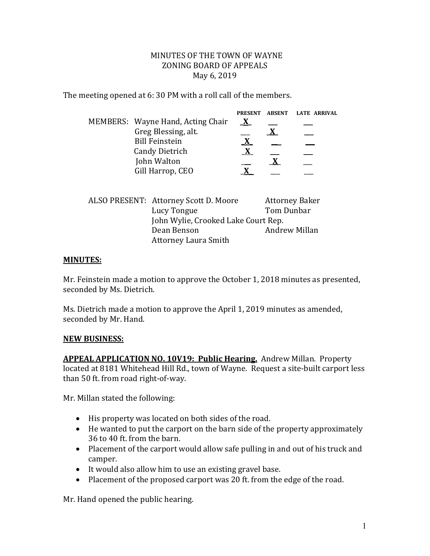## MINUTES OF THE TOWN OF WAYNE ZONING BOARD OF APPEALS May 6, 2019

The meeting opened at 6: 30 PM with a roll call of the members.

|                                   | <b>PRESENT</b> | ABSENT | LATE ARRIVAL |
|-----------------------------------|----------------|--------|--------------|
| MEMBERS: Wayne Hand, Acting Chair | X              |        |              |
| Greg Blessing, alt.               |                |        |              |
| <b>Bill Feinstein</b>             |                |        |              |
| <b>Candy Dietrich</b>             |                |        |              |
| John Walton                       |                |        |              |
| Gill Harrop, CEO                  |                |        |              |

| ALSO PRESENT: Attorney Scott D. Moore | <b>Attorney Baker</b> |  |
|---------------------------------------|-----------------------|--|
| Lucy Tongue                           | Tom Dunbar            |  |
| John Wylie, Crooked Lake Court Rep.   |                       |  |
| Dean Benson                           | Andrew Millan         |  |
| <b>Attorney Laura Smith</b>           |                       |  |

## **MINUTES:**

Mr. Feinstein made a motion to approve the October 1, 2018 minutes as presented, seconded by Ms. Dietrich.

Ms. Dietrich made a motion to approve the April 1, 2019 minutes as amended, seconded by Mr. Hand.

## **NEW BUSINESS:**

**APPEAL APPLICATION NO. 10V19: Public Hearing.** Andrew Millan. Property located at 8181 Whitehead Hill Rd., town of Wayne. Request a site-built carport less than 50 ft. from road right-of-way.

Mr. Millan stated the following:

- His property was located on both sides of the road.
- He wanted to put the carport on the barn side of the property approximately 36 to 40 ft. from the barn.
- Placement of the carport would allow safe pulling in and out of his truck and camper.
- It would also allow him to use an existing gravel base.
- Placement of the proposed carport was 20 ft. from the edge of the road.

Mr. Hand opened the public hearing.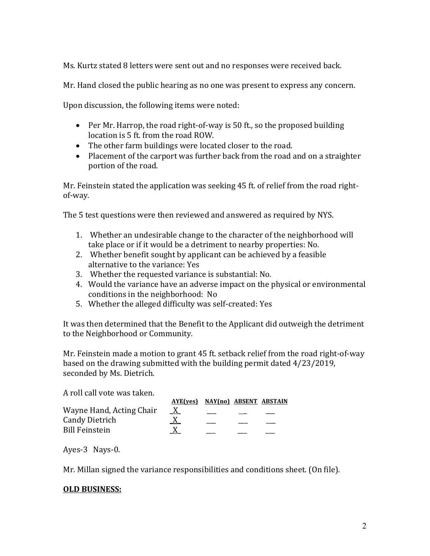Ms. Kurtz stated 8 letters were sent out and no responses were received back.

Mr. Hand closed the public hearing as no one was present to express any concern.

Upon discussion, the following items were noted:

- Per Mr. Harrop, the road right-of-way is 50 ft., so the proposed building location is 5 ft. from the road ROW.
- The other farm buildings were located closer to the road.
- Placement of the carport was further back from the road and on a straighter portion of the road.

Mr. Feinstein stated the application was seeking 45 ft. of relief from the road rightof-way.

The 5 test questions were then reviewed and answered as required by NYS.

- 1. Whether an undesirable change to the character of the neighborhood will take place or if it would be a detriment to nearby properties: No.
- 2. Whether benefit sought by applicant can be achieved by a feasible alternative to the variance: Yes
- 3. Whether the requested variance is substantial: No.
- 4. Would the variance have an adverse impact on the physical or environmental conditions in the neighborhood: No
- 5. Whether the alleged difficulty was self-created: Yes

It was then determined that the Benefit to the Applicant did outweigh the detriment to the Neighborhood or Community.

Mr. Feinstein made a motion to grant 45 ft. setback relief from the road right-of-way based on the drawing submitted with the building permit dated 4/23/2019, seconded by Ms. Dietrich.

| A roll call vote was taken. |                                 |  |  |
|-----------------------------|---------------------------------|--|--|
|                             | AYE(ves) NAY(no) ABSENT ABSTAIN |  |  |
| Wayne Hand, Acting Chair    | X                               |  |  |
| <b>Candy Dietrich</b>       |                                 |  |  |
| <b>Bill Feinstein</b>       |                                 |  |  |
|                             |                                 |  |  |
|                             |                                 |  |  |

Ayes-3 Nays-0.

Mr. Millan signed the variance responsibilities and conditions sheet. (On file).

## **OLD BUSINESS:**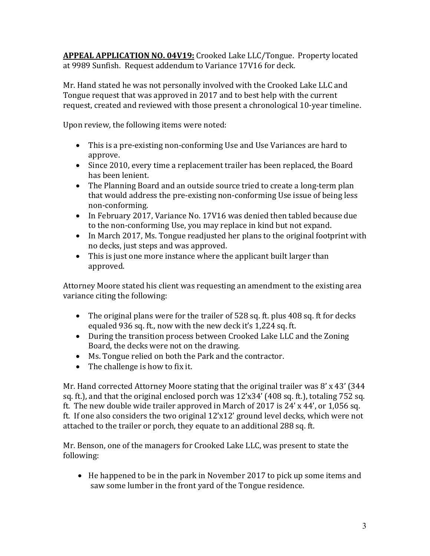**APPEAL APPLICATION NO. 04V19:** Crooked Lake LLC/Tongue. Property located at 9989 Sunfish. Request addendum to Variance 17V16 for deck.

Mr. Hand stated he was not personally involved with the Crooked Lake LLC and Tongue request that was approved in 2017 and to best help with the current request, created and reviewed with those present a chronological 10-year timeline.

Upon review, the following items were noted:

- This is a pre-existing non-conforming Use and Use Variances are hard to approve.
- Since 2010, every time a replacement trailer has been replaced, the Board has been lenient.
- The Planning Board and an outside source tried to create a long-term plan that would address the pre-existing non-conforming Use issue of being less non-conforming.
- In February 2017, Variance No. 17V16 was denied then tabled because due to the non-conforming Use, you may replace in kind but not expand.
- In March 2017, Ms. Tongue readjusted her plans to the original footprint with no decks, just steps and was approved.
- This is just one more instance where the applicant built larger than approved.

Attorney Moore stated his client was requesting an amendment to the existing area variance citing the following:

- The original plans were for the trailer of 528 sq. ft. plus 408 sq. ft for decks equaled 936 sq. ft., now with the new deck it's 1,224 sq. ft.
- During the transition process between Crooked Lake LLC and the Zoning Board, the decks were not on the drawing.
- Ms. Tongue relied on both the Park and the contractor.
- The challenge is how to fix it.

Mr. Hand corrected Attorney Moore stating that the original trailer was 8' x 43' (344 sq. ft.), and that the original enclosed porch was 12'x34' (408 sq. ft.), totaling 752 sq. ft. The new double wide trailer approved in March of 2017 is 24' x 44', or 1,056 sq. ft. If one also considers the two original 12'x12' ground level decks, which were not attached to the trailer or porch, they equate to an additional 288 sq. ft.

Mr. Benson, one of the managers for Crooked Lake LLC, was present to state the following:

• He happened to be in the park in November 2017 to pick up some items and saw some lumber in the front yard of the Tongue residence.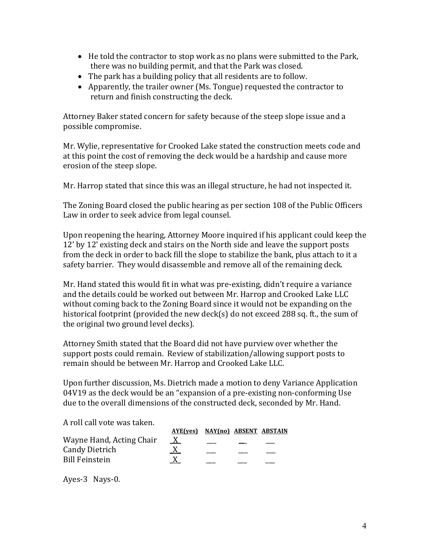- He told the contractor to stop work as no plans were submitted to the Park, there was no building permit, and that the Park was closed.
- The park has a building policy that all residents are to follow.
- Apparently, the trailer owner (Ms. Tongue) requested the contractor to return and finish constructing the deck.

Attorney Baker stated concern for safety because of the steep slope issue and a possible compromise.

Mr. Wylie, representative for Crooked Lake stated the construction meets code and at this point the cost of removing the deck would be a hardship and cause more erosion of the steep slope.

Mr. Harrop stated that since this was an illegal structure, he had not inspected it.

The Zoning Board closed the public hearing as per section 108 of the Public Officers Law in order to seek advice from legal counsel.

Upon reopening the hearing, Attorney Moore inquired if his applicant could keep the 12' by 12' existing deck and stairs on the North side and leave the support posts from the deck in order to back fill the slope to stabilize the bank, plus attach to it a safety barrier. They would disassemble and remove all of the remaining deck.

Mr. Hand stated this would fit in what was pre-existing, didn't require a variance and the details could be worked out between Mr. Harrop and Crooked Lake LLC without coming back to the Zoning Board since it would not be expanding on the historical footprint (provided the new deck(s) do not exceed 288 sq. ft., the sum of the original two ground level decks).

Attorney Smith stated that the Board did not have purview over whether the support posts could remain. Review of stabilization/allowing support posts to remain should be between Mr. Harrop and Crooked Lake LLC.

Upon further discussion, Ms. Dietrich made a motion to deny Variance Application 04V19 as the deck would be an "expansion of a pre-existing non-conforming Use due to the overall dimensions of the constructed deck, seconded by Mr. Hand.

A roll call vote was taken.

|                          | AYE(ves) NAY(no) ABSENT ABSTAIN |  |  |
|--------------------------|---------------------------------|--|--|
| Wayne Hand, Acting Chair | $\overline{X}$                  |  |  |
| <b>Candy Dietrich</b>    |                                 |  |  |
| <b>Bill Feinstein</b>    |                                 |  |  |

Ayes-3 Nays-0.